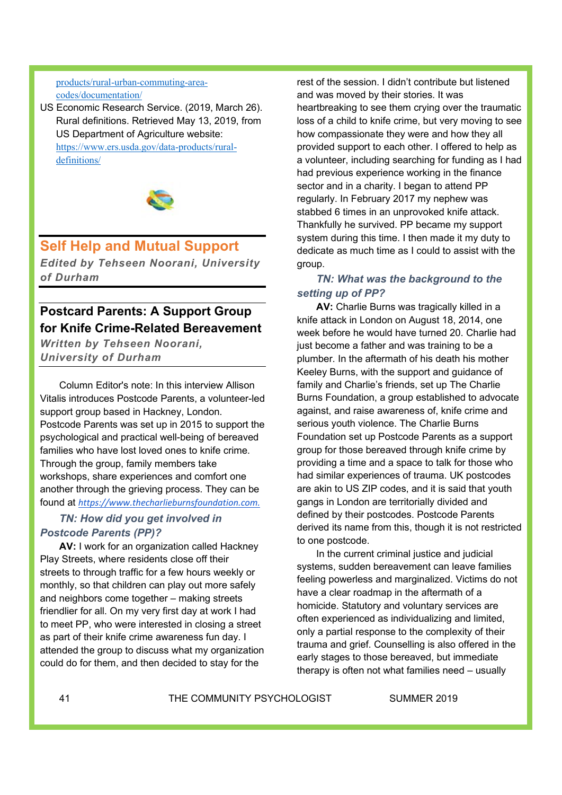#### products/rural-urban-commuting-areacodes/documentation/

US Economic Research Service. (2019, March 26). Rural definitions. Retrieved May 13, 2019, from US Department of Agriculture website: https://www.ers.usda.gov/data-products/ruraldefinitions/



# **Self Help and Mutual Support**

*Edited by Tehseen Noorani, University of Durham*

## **Postcard Parents: A Support Group for Knife Crime-Related Bereavement**

*Written by Tehseen Noorani, University of Durham*

Column Editor's note: In this interview Allison Vitalis introduces Postcode Parents, a volunteer-led support group based in Hackney, London. Postcode Parents was set up in 2015 to support the psychological and practical well-being of bereaved families who have lost loved ones to knife crime. Through the group, family members take workshops, share experiences and comfort one another through the grieving process. They can be found at *https://www.thecharlieburnsfoundation.com.*

## *TN: How did you get involved in Postcode Parents (PP)?*

**AV:** I work for an organization called Hackney Play Streets, where residents close off their streets to through traffic for a few hours weekly or monthly, so that children can play out more safely and neighbors come together – making streets friendlier for all. On my very first day at work I had to meet PP, who were interested in closing a street as part of their knife crime awareness fun day. I attended the group to discuss what my organization could do for them, and then decided to stay for the

rest of the session. I didn't contribute but listened and was moved by their stories. It was heartbreaking to see them crying over the traumatic loss of a child to knife crime, but very moving to see how compassionate they were and how they all provided support to each other. I offered to help as a volunteer, including searching for funding as I had had previous experience working in the finance sector and in a charity. I began to attend PP regularly. In February 2017 my nephew was stabbed 6 times in an unprovoked knife attack. Thankfully he survived. PP became my support system during this time. I then made it my duty to dedicate as much time as I could to assist with the group.

## *TN: What was the background to the setting up of PP?*

**AV:** Charlie Burns was tragically killed in a knife attack in London on August 18, 2014, one week before he would have turned 20. Charlie had just become a father and was training to be a plumber. In the aftermath of his death his mother Keeley Burns, with the support and guidance of family and Charlie's friends, set up The Charlie Burns Foundation, a group established to advocate against, and raise awareness of, knife crime and serious youth violence. The Charlie Burns Foundation set up Postcode Parents as a support group for those bereaved through knife crime by providing a time and a space to talk for those who had similar experiences of trauma. UK postcodes are akin to US ZIP codes, and it is said that youth gangs in London are territorially divided and defined by their postcodes. Postcode Parents derived its name from this, though it is not restricted to one postcode.

In the current criminal justice and judicial systems, sudden bereavement can leave families feeling powerless and marginalized. Victims do not have a clear roadmap in the aftermath of a homicide. Statutory and voluntary services are often experienced as individualizing and limited, only a partial response to the complexity of their trauma and grief. Counselling is also offered in the early stages to those bereaved, but immediate therapy is often not what families need – usually

41 THE COMMUNITY PSYCHOLOGIST SUMMER 2019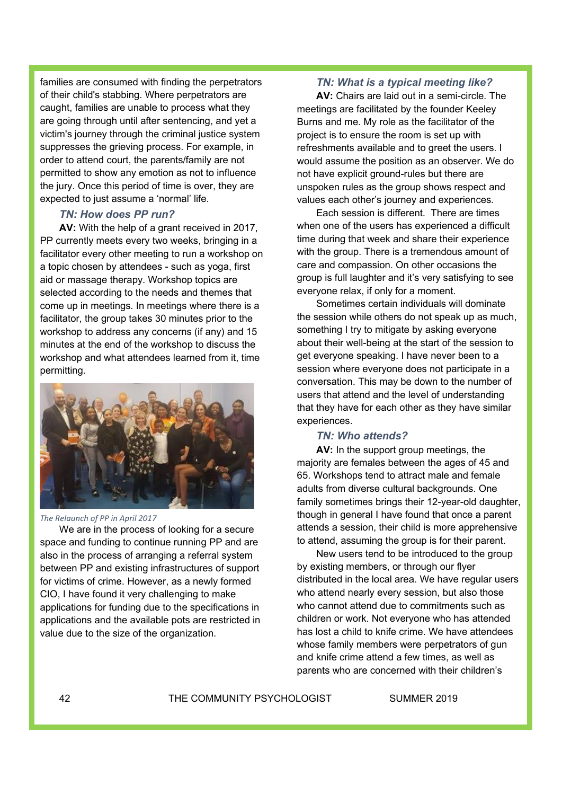families are consumed with finding the perpetrators of their child's stabbing. Where perpetrators are caught, families are unable to process what they are going through until after sentencing, and yet a victim's journey through the criminal justice system suppresses the grieving process. For example, in order to attend court, the parents/family are not permitted to show any emotion as not to influence the jury. Once this period of time is over, they are expected to just assume a 'normal' life.

## *TN: How does PP run?*

**AV:** With the help of a grant received in 2017, PP currently meets every two weeks, bringing in a facilitator every other meeting to run a workshop on a topic chosen by attendees - such as yoga, first aid or massage therapy. Workshop topics are selected according to the needs and themes that come up in meetings. In meetings where there is a facilitator, the group takes 30 minutes prior to the workshop to address any concerns (if any) and 15 minutes at the end of the workshop to discuss the workshop and what attendees learned from it, time permitting.



*The Relaunch of PP in April 2017*

We are in the process of looking for a secure space and funding to continue running PP and are also in the process of arranging a referral system between PP and existing infrastructures of support for victims of crime. However, as a newly formed CIO, I have found it very challenging to make applications for funding due to the specifications in applications and the available pots are restricted in value due to the size of the organization.

#### *TN: What is a typical meeting like?*

**AV:** Chairs are laid out in a semi-circle. The meetings are facilitated by the founder Keeley Burns and me. My role as the facilitator of the project is to ensure the room is set up with refreshments available and to greet the users. I would assume the position as an observer. We do not have explicit ground-rules but there are unspoken rules as the group shows respect and values each other's journey and experiences.

Each session is different. There are times when one of the users has experienced a difficult time during that week and share their experience with the group. There is a tremendous amount of care and compassion. On other occasions the group is full laughter and it's very satisfying to see everyone relax, if only for a moment.

Sometimes certain individuals will dominate the session while others do not speak up as much, something I try to mitigate by asking everyone about their well-being at the start of the session to get everyone speaking. I have never been to a session where everyone does not participate in a conversation. This may be down to the number of users that attend and the level of understanding that they have for each other as they have similar experiences.

#### *TN: Who attends?*

**AV:** In the support group meetings, the majority are females between the ages of 45 and 65. Workshops tend to attract male and female adults from diverse cultural backgrounds. One family sometimes brings their 12-year-old daughter, though in general I have found that once a parent attends a session, their child is more apprehensive to attend, assuming the group is for their parent.

New users tend to be introduced to the group by existing members, or through our flyer distributed in the local area. We have regular users who attend nearly every session, but also those who cannot attend due to commitments such as children or work. Not everyone who has attended has lost a child to knife crime. We have attendees whose family members were perpetrators of gun and knife crime attend a few times, as well as parents who are concerned with their children's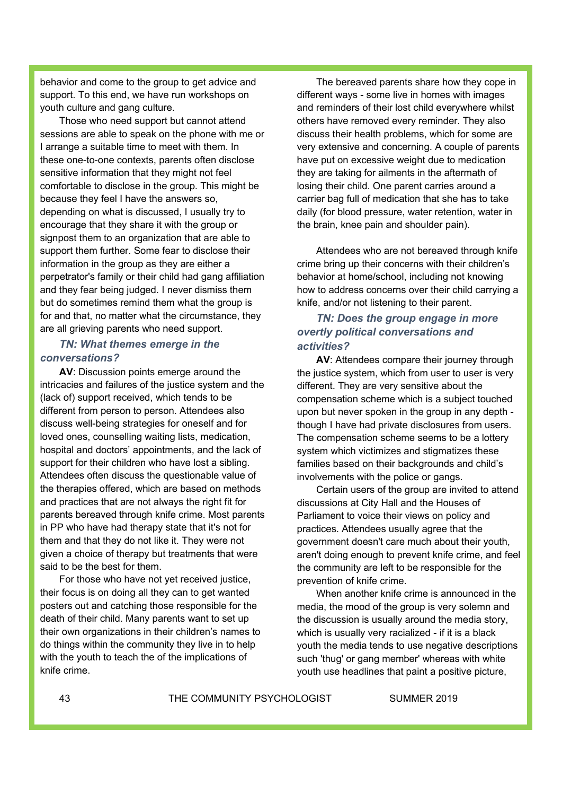behavior and come to the group to get advice and support. To this end, we have run workshops on youth culture and gang culture.

Those who need support but cannot attend sessions are able to speak on the phone with me or I arrange a suitable time to meet with them. In these one-to-one contexts, parents often disclose sensitive information that they might not feel comfortable to disclose in the group. This might be because they feel I have the answers so, depending on what is discussed, I usually try to encourage that they share it with the group or signpost them to an organization that are able to support them further. Some fear to disclose their information in the group as they are either a perpetrator's family or their child had gang affiliation and they fear being judged. I never dismiss them but do sometimes remind them what the group is for and that, no matter what the circumstance, they are all grieving parents who need support.

## *TN: What themes emerge in the conversations?*

**AV**: Discussion points emerge around the intricacies and failures of the justice system and the (lack of) support received, which tends to be different from person to person. Attendees also discuss well-being strategies for oneself and for loved ones, counselling waiting lists, medication, hospital and doctors' appointments, and the lack of support for their children who have lost a sibling. Attendees often discuss the questionable value of the therapies offered, which are based on methods and practices that are not always the right fit for parents bereaved through knife crime. Most parents in PP who have had therapy state that it's not for them and that they do not like it. They were not given a choice of therapy but treatments that were said to be the best for them.

For those who have not yet received justice, their focus is on doing all they can to get wanted posters out and catching those responsible for the death of their child. Many parents want to set up their own organizations in their children's names to do things within the community they live in to help with the youth to teach the of the implications of knife crime.

The bereaved parents share how they cope in different ways - some live in homes with images and reminders of their lost child everywhere whilst others have removed every reminder. They also discuss their health problems, which for some are very extensive and concerning. A couple of parents have put on excessive weight due to medication they are taking for ailments in the aftermath of losing their child. One parent carries around a carrier bag full of medication that she has to take daily (for blood pressure, water retention, water in the brain, knee pain and shoulder pain).

Attendees who are not bereaved through knife crime bring up their concerns with their children's behavior at home/school, including not knowing how to address concerns over their child carrying a knife, and/or not listening to their parent.

## *TN: Does the group engage in more overtly political conversations and activities?*

**AV**: Attendees compare their journey through the justice system, which from user to user is very different. They are very sensitive about the compensation scheme which is a subject touched upon but never spoken in the group in any depth though I have had private disclosures from users. The compensation scheme seems to be a lottery system which victimizes and stigmatizes these families based on their backgrounds and child's involvements with the police or gangs.

Certain users of the group are invited to attend discussions at City Hall and the Houses of Parliament to voice their views on policy and practices. Attendees usually agree that the government doesn't care much about their youth, aren't doing enough to prevent knife crime, and feel the community are left to be responsible for the prevention of knife crime.

When another knife crime is announced in the media, the mood of the group is very solemn and the discussion is usually around the media story, which is usually very racialized - if it is a black youth the media tends to use negative descriptions such 'thug' or gang member' whereas with white youth use headlines that paint a positive picture,